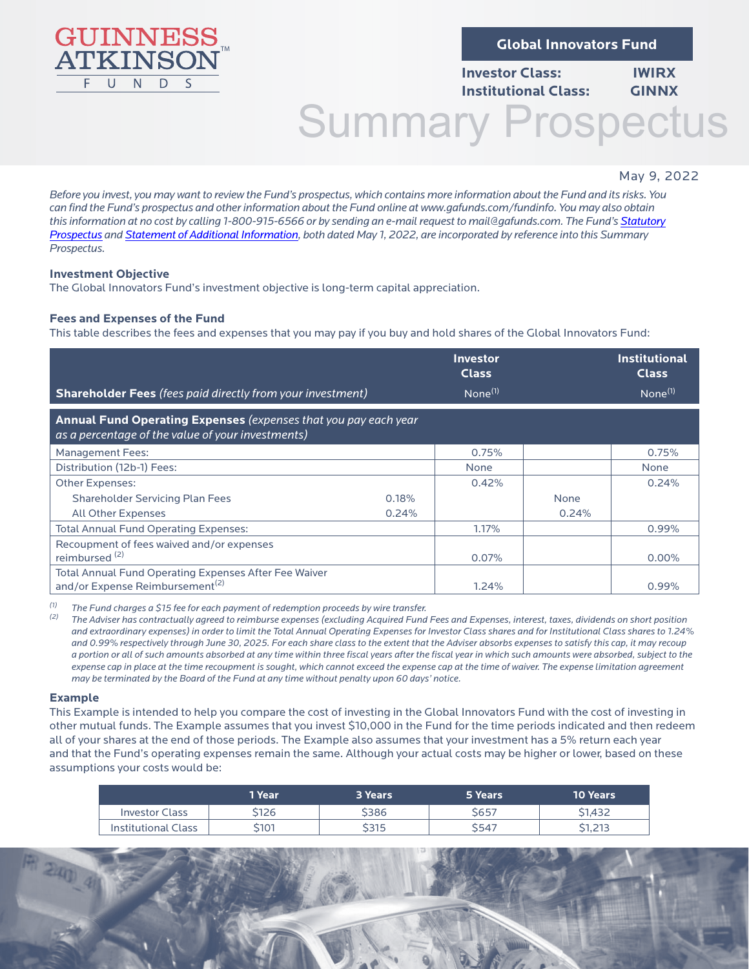

**Global Innovators Fund**

# **Investor Class: IWIRX Institutional Class: GINNX**

# Summary Prospectus

# May 9, 2022

1

*Before you invest, you may want to review the Fund's prospectus, which contains more information about the Fund and its risks. You can find the Fund's prospectus and other information about the Fund online at [www.gafunds.com/fundinfo.](http://www.gafunds.com/fundinfo) You may also obtain this information at no cost by calling 1-800-915-6566 or by sending an e-mail request to mail@gafunds.com. The Fund's [Statutory](https://www.gafunds.com/wp-content/uploads/2012/06/prospectus.pdf) [Prospectus](https://www.gafunds.com/wp-content/uploads/2012/06/prospectus.pdf) and [Statement of Additional Information,](https://www.gafunds.com/wp-content/uploads/2012/06/SAI.pdf) both dated May 1, 2022, are incorporated by reference into this Summary Prospectus.*

# **Investment Objective**

The Global Innovators Fund's investment objective is long-term capital appreciation.

# **Fees and Expenses of the Fund**

This table describes the fees and expenses that you may pay if you buy and hold shares of the Global Innovators Fund:

|                                                                                                                      |       | Investor<br><b>Class</b> |       | <b>Institutional</b><br><b>Class</b> |
|----------------------------------------------------------------------------------------------------------------------|-------|--------------------------|-------|--------------------------------------|
| <b>Shareholder Fees</b> (fees paid directly from your investment)                                                    |       | $None^{(1)}$             |       | $None^{(1)}$                         |
| Annual Fund Operating Expenses (expenses that you pay each year<br>as a percentage of the value of your investments) |       |                          |       |                                      |
| <b>Management Fees:</b>                                                                                              |       | 0.75%                    |       | 0.75%                                |
| Distribution (12b-1) Fees:                                                                                           |       | None                     |       | <b>None</b>                          |
| Other Expenses:                                                                                                      |       | 0.42%                    |       | 0.24%                                |
| <b>Shareholder Servicing Plan Fees</b>                                                                               | 0.18% |                          | None  |                                      |
| <b>All Other Expenses</b>                                                                                            | 0.24% |                          | 0.24% |                                      |
| <b>Total Annual Fund Operating Expenses:</b>                                                                         |       | 1.17%                    |       | $0.99\%$                             |
| Recoupment of fees waived and/or expenses<br>reimbursed <sup>(2)</sup>                                               |       | 0.07%                    |       | $0.00\%$                             |
| Total Annual Fund Operating Expenses After Fee Waiver<br>and/or Expense Reimbursement <sup>(2)</sup>                 |       | 1.24%                    |       | 0.99%                                |

*(1) The Fund charges a \$15 fee for each payment of redemption proceeds by wire transfer.* 

*(2) The Adviser has contractually agreed to reimburse expenses (excluding Acquired Fund Fees and Expenses, interest, taxes, dividends on short position and extraordinary expenses) in order to limit the Total Annual Operating Expenses for Investor Class shares and for Institutional Class shares to 1.24% and 0.99% respectively through June 30, 2025. For each share class to the extent that the Adviser absorbs expenses to satisfy this cap, it may recoup a portion or all of such amounts absorbed at any time within three fiscal years after the fiscal year in which such amounts were absorbed, subject to the expense cap in place at the time recoupment is sought, which cannot exceed the expense cap at the time of waiver. The expense limitation agreement may be terminated by the Board of the Fund at any time without penalty upon 60 days' notice.* 

#### **Example**

 $240$ 

This Example is intended to help you compare the cost of investing in the Global Innovators Fund with the cost of investing in other mutual funds. The Example assumes that you invest \$10,000 in the Fund for the time periods indicated and then redeem all of your shares at the end of those periods. The Example also assumes that your investment has a 5% return each year and that the Fund's operating expenses remain the same. Although your actual costs may be higher or lower, based on these assumptions your costs would be:

|                       | 1 Year | 3 Years | 5 Years      | 10 Years |
|-----------------------|--------|---------|--------------|----------|
| <b>Investor Class</b> | 5126   | \$386   | S657         | \$1.432  |
| Institutional Class   | 5101   | \$315   | <b>\$547</b> | \$1,213  |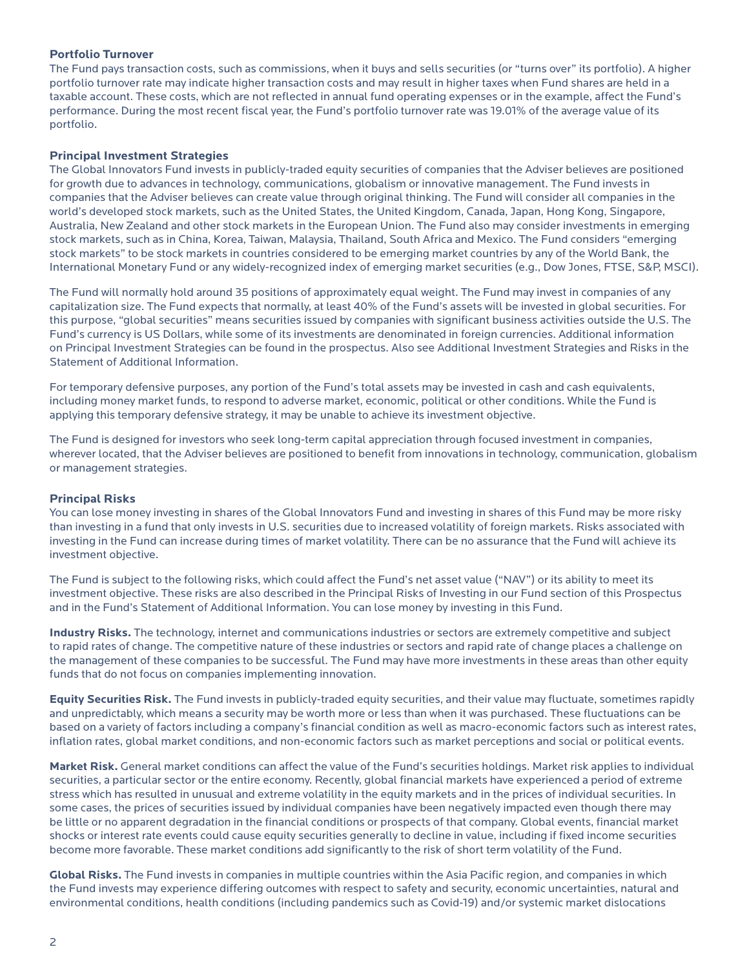#### **Portfolio Turnover**

The Fund pays transaction costs, such as commissions, when it buys and sells securities (or "turns over" its portfolio). A higher portfolio turnover rate may indicate higher transaction costs and may result in higher taxes when Fund shares are held in a taxable account. These costs, which are not reflected in annual fund operating expenses or in the example, affect the Fund's performance. During the most recent fiscal year, the Fund's portfolio turnover rate was 19.01% of the average value of its portfolio.

#### **Principal Investment Strategies**

The Global Innovators Fund invests in publicly-traded equity securities of companies that the Adviser believes are positioned for growth due to advances in technology, communications, globalism or innovative management. The Fund invests in companies that the Adviser believes can create value through original thinking. The Fund will consider all companies in the world's developed stock markets, such as the United States, the United Kingdom, Canada, Japan, Hong Kong, Singapore, Australia, New Zealand and other stock markets in the European Union. The Fund also may consider investments in emerging stock markets, such as in China, Korea, Taiwan, Malaysia, Thailand, South Africa and Mexico. The Fund considers "emerging stock markets" to be stock markets in countries considered to be emerging market countries by any of the World Bank, the International Monetary Fund or any widely-recognized index of emerging market securities (e.g., Dow Jones, FTSE, S&P, MSCI).

The Fund will normally hold around 35 positions of approximately equal weight. The Fund may invest in companies of any capitalization size. The Fund expects that normally, at least 40% of the Fund's assets will be invested in global securities. For this purpose, "global securities" means securities issued by companies with significant business activities outside the U.S. The Fund's currency is US Dollars, while some of its investments are denominated in foreign currencies. Additional information on Principal Investment Strategies can be found in the prospectus. Also see Additional Investment Strategies and Risks in the Statement of Additional Information.

For temporary defensive purposes, any portion of the Fund's total assets may be invested in cash and cash equivalents, including money market funds, to respond to adverse market, economic, political or other conditions. While the Fund is applying this temporary defensive strategy, it may be unable to achieve its investment objective.

The Fund is designed for investors who seek long-term capital appreciation through focused investment in companies, wherever located, that the Adviser believes are positioned to benefit from innovations in technology, communication, globalism or management strategies.

#### **Principal Risks**

You can lose money investing in shares of the Global Innovators Fund and investing in shares of this Fund may be more risky than investing in a fund that only invests in U.S. securities due to increased volatility of foreign markets. Risks associated with investing in the Fund can increase during times of market volatility. There can be no assurance that the Fund will achieve its investment objective.

The Fund is subject to the following risks, which could affect the Fund's net asset value ("NAV") or its ability to meet its investment objective. These risks are also described in the Principal Risks of Investing in our Fund section of this Prospectus and in the Fund's Statement of Additional Information. You can lose money by investing in this Fund.

**Industry Risks.** The technology, internet and communications industries or sectors are extremely competitive and subject to rapid rates of change. The competitive nature of these industries or sectors and rapid rate of change places a challenge on the management of these companies to be successful. The Fund may have more investments in these areas than other equity funds that do not focus on companies implementing innovation.

**Equity Securities Risk.** The Fund invests in publicly-traded equity securities, and their value may fluctuate, sometimes rapidly and unpredictably, which means a security may be worth more or less than when it was purchased. These fluctuations can be based on a variety of factors including a company's financial condition as well as macro-economic factors such as interest rates, inflation rates, global market conditions, and non-economic factors such as market perceptions and social or political events.

**Market Risk.** General market conditions can affect the value of the Fund's securities holdings. Market risk applies to individual securities, a particular sector or the entire economy. Recently, global financial markets have experienced a period of extreme stress which has resulted in unusual and extreme volatility in the equity markets and in the prices of individual securities. In some cases, the prices of securities issued by individual companies have been negatively impacted even though there may be little or no apparent degradation in the financial conditions or prospects of that company. Global events, financial market shocks or interest rate events could cause equity securities generally to decline in value, including if fixed income securities become more favorable. These market conditions add significantly to the risk of short term volatility of the Fund.

**Global Risks.** The Fund invests in companies in multiple countries within the Asia Pacific region, and companies in which the Fund invests may experience differing outcomes with respect to safety and security, economic uncertainties, natural and environmental conditions, health conditions (including pandemics such as Covid-19) and/or systemic market dislocations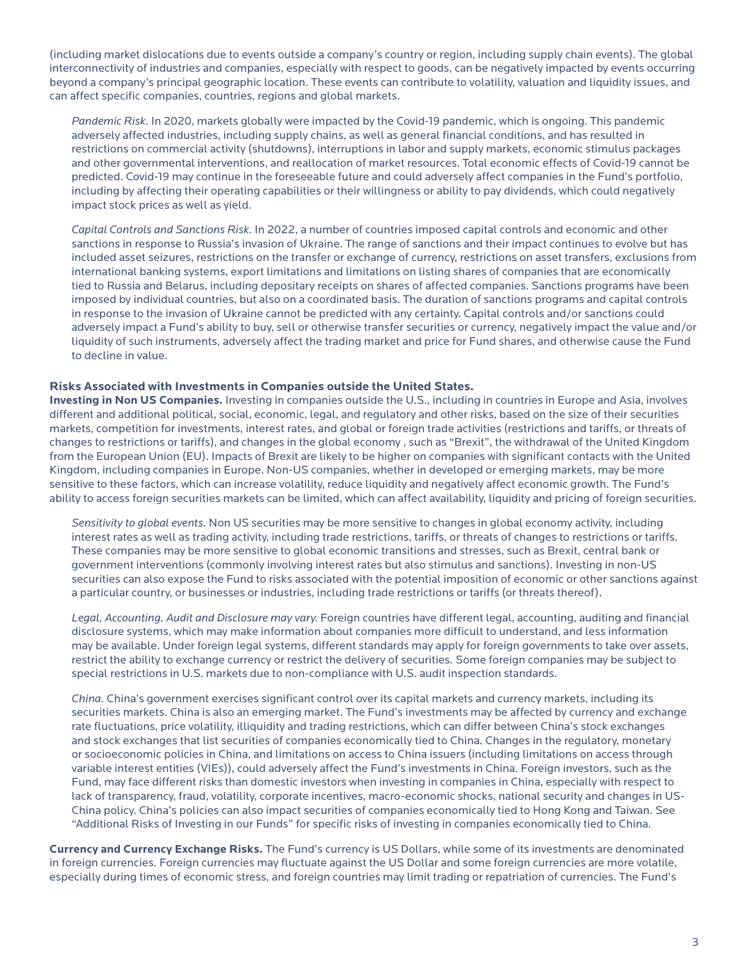(including market dislocations due to events outside a company's country or region, including supply chain events). The global interconnectivity of industries and companies, especially with respect to goods, can be negatively impacted by events occurring beyond a company's principal geographic location. These events can contribute to volatility, valuation and liquidity issues, and can affect specific companies, countries, regions and global markets.

*Pandemic Risk.* In 2020, markets globally were impacted by the Covid-19 pandemic, which is ongoing. This pandemic adversely affected industries, including supply chains, as well as general financial conditions, and has resulted in restrictions on commercial activity (shutdowns), interruptions in labor and supply markets, economic stimulus packages and other governmental interventions, and reallocation of market resources. Total economic effects of Covid-19 cannot be predicted. Covid-19 may continue in the foreseeable future and could adversely affect companies in the Fund's portfolio, including by affecting their operating capabilities or their willingness or ability to pay dividends, which could negatively impact stock prices as well as yield.

*Capital Controls and Sanctions Risk.* In 2022, a number of countries imposed capital controls and economic and other sanctions in response to Russia's invasion of Ukraine. The range of sanctions and their impact continues to evolve but has included asset seizures, restrictions on the transfer or exchange of currency, restrictions on asset transfers, exclusions from international banking systems, export limitations and limitations on listing shares of companies that are economically tied to Russia and Belarus, including depositary receipts on shares of affected companies. Sanctions programs have been imposed by individual countries, but also on a coordinated basis. The duration of sanctions programs and capital controls in response to the invasion of Ukraine cannot be predicted with any certainty. Capital controls and/or sanctions could adversely impact a Fund's ability to buy, sell or otherwise transfer securities or currency, negatively impact the value and/or liquidity of such instruments, adversely affect the trading market and price for Fund shares, and otherwise cause the Fund to decline in value.

#### **Risks Associated with Investments in Companies outside the United States.**

**Investing in Non US Companies.** Investing in companies outside the U.S., including in countries in Europe and Asia, involves different and additional political, social, economic, legal, and regulatory and other risks, based on the size of their securities markets, competition for investments, interest rates, and global or foreign trade activities (restrictions and tariffs, or threats of changes to restrictions or tariffs), and changes in the global economy , such as "Brexit", the withdrawal of the United Kingdom from the European Union (EU). Impacts of Brexit are likely to be higher on companies with significant contacts with the United Kingdom, including companies in Europe. Non-US companies, whether in developed or emerging markets, may be more sensitive to these factors, which can increase volatility, reduce liquidity and negatively affect economic growth. The Fund's ability to access foreign securities markets can be limited, which can affect availability, liquidity and pricing of foreign securities.

*Sensitivity to global events.* Non US securities may be more sensitive to changes in global economy activity, including interest rates as well as trading activity, including trade restrictions, tariffs, or threats of changes to restrictions or tariffs. These companies may be more sensitive to global economic transitions and stresses, such as Brexit, central bank or government interventions (commonly involving interest rates but also stimulus and sanctions). Investing in non-US securities can also expose the Fund to risks associated with the potential imposition of economic or other sanctions against a particular country, or businesses or industries, including trade restrictions or tariffs (or threats thereof).

*Legal, Accounting, Audit and Disclosure may vary.* Foreign countries have different legal, accounting, auditing and financial disclosure systems, which may make information about companies more difficult to understand, and less information may be available. Under foreign legal systems, different standards may apply for foreign governments to take over assets, restrict the ability to exchange currency or restrict the delivery of securities. Some foreign companies may be subject to special restrictions in U.S. markets due to non-compliance with U.S. audit inspection standards.

*China.* China's government exercises significant control over its capital markets and currency markets, including its securities markets. China is also an emerging market. The Fund's investments may be affected by currency and exchange rate fluctuations, price volatility, illiquidity and trading restrictions, which can differ between China's stock exchanges and stock exchanges that list securities of companies economically tied to China. Changes in the regulatory, monetary or socioeconomic policies in China, and limitations on access to China issuers (including limitations on access through variable interest entities (VIEs)), could adversely affect the Fund's investments in China. Foreign investors, such as the Fund, may face different risks than domestic investors when investing in companies in China, especially with respect to lack of transparency, fraud, volatility, corporate incentives, macro-economic shocks, national security and changes in US-China policy. China's policies can also impact securities of companies economically tied to Hong Kong and Taiwan. See "Additional Risks of Investing in our Funds" for specific risks of investing in companies economically tied to China.

**Currency and Currency Exchange Risks.** The Fund's currency is US Dollars, while some of its investments are denominated in foreign currencies. Foreign currencies may fluctuate against the US Dollar and some foreign currencies are more volatile, especially during times of economic stress, and foreign countries may limit trading or repatriation of currencies. The Fund's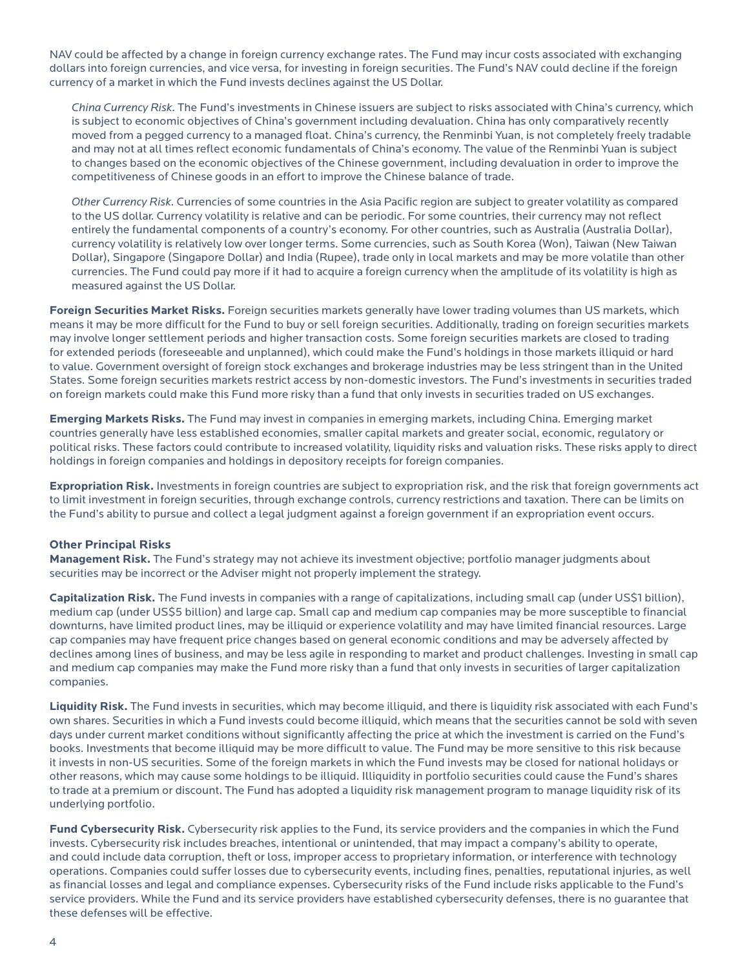NAV could be affected by a change in foreign currency exchange rates. The Fund may incur costs associated with exchanging dollars into foreign currencies, and vice versa, for investing in foreign securities. The Fund's NAV could decline if the foreign currency of a market in which the Fund invests declines against the US Dollar.

*China Currency Risk.* The Fund's investments in Chinese issuers are subject to risks associated with China's currency, which is subject to economic objectives of China's government including devaluation. China has only comparatively recently moved from a pegged currency to a managed float. China's currency, the Renminbi Yuan, is not completely freely tradable and may not at all times reflect economic fundamentals of China's economy. The value of the Renminbi Yuan is subject to changes based on the economic objectives of the Chinese government, including devaluation in order to improve the competitiveness of Chinese goods in an effort to improve the Chinese balance of trade.

*Other Currency Risk.* Currencies of some countries in the Asia Pacific region are subject to greater volatility as compared to the US dollar. Currency volatility is relative and can be periodic. For some countries, their currency may not reflect entirely the fundamental components of a country's economy. For other countries, such as Australia (Australia Dollar), currency volatility is relatively low over longer terms. Some currencies, such as South Korea (Won), Taiwan (New Taiwan Dollar), Singapore (Singapore Dollar) and India (Rupee), trade only in local markets and may be more volatile than other currencies. The Fund could pay more if it had to acquire a foreign currency when the amplitude of its volatility is high as measured against the US Dollar.

**Foreign Securities Market Risks.** Foreign securities markets generally have lower trading volumes than US markets, which means it may be more difficult for the Fund to buy or sell foreign securities. Additionally, trading on foreign securities markets may involve longer settlement periods and higher transaction costs. Some foreign securities markets are closed to trading for extended periods (foreseeable and unplanned), which could make the Fund's holdings in those markets illiquid or hard to value. Government oversight of foreign stock exchanges and brokerage industries may be less stringent than in the United States. Some foreign securities markets restrict access by non-domestic investors. The Fund's investments in securities traded on foreign markets could make this Fund more risky than a fund that only invests in securities traded on US exchanges.

**Emerging Markets Risks.** The Fund may invest in companies in emerging markets, including China. Emerging market countries generally have less established economies, smaller capital markets and greater social, economic, regulatory or political risks. These factors could contribute to increased volatility, liquidity risks and valuation risks. These risks apply to direct holdings in foreign companies and holdings in depository receipts for foreign companies.

**Expropriation Risk.** Investments in foreign countries are subject to expropriation risk, and the risk that foreign governments act to limit investment in foreign securities, through exchange controls, currency restrictions and taxation. There can be limits on the Fund's ability to pursue and collect a legal judgment against a foreign government if an expropriation event occurs.

# **Other Principal Risks**

**Management Risk.** The Fund's strategy may not achieve its investment objective; portfolio manager judgments about securities may be incorrect or the Adviser might not properly implement the strategy.

**Capitalization Risk.** The Fund invests in companies with a range of capitalizations, including small cap (under US\$1 billion), medium cap (under US\$5 billion) and large cap. Small cap and medium cap companies may be more susceptible to financial downturns, have limited product lines, may be illiquid or experience volatility and may have limited financial resources. Large cap companies may have frequent price changes based on general economic conditions and may be adversely affected by declines among lines of business, and may be less agile in responding to market and product challenges. Investing in small cap and medium cap companies may make the Fund more risky than a fund that only invests in securities of larger capitalization companies.

**Liquidity Risk.** The Fund invests in securities, which may become illiquid, and there is liquidity risk associated with each Fund's own shares. Securities in which a Fund invests could become illiquid, which means that the securities cannot be sold with seven days under current market conditions without significantly affecting the price at which the investment is carried on the Fund's books. Investments that become illiquid may be more difficult to value. The Fund may be more sensitive to this risk because it invests in non-US securities. Some of the foreign markets in which the Fund invests may be closed for national holidays or other reasons, which may cause some holdings to be illiquid. Illiquidity in portfolio securities could cause the Fund's shares to trade at a premium or discount. The Fund has adopted a liquidity risk management program to manage liquidity risk of its underlying portfolio.

**Fund Cybersecurity Risk.** Cybersecurity risk applies to the Fund, its service providers and the companies in which the Fund invests. Cybersecurity risk includes breaches, intentional or unintended, that may impact a company's ability to operate, and could include data corruption, theft or loss, improper access to proprietary information, or interference with technology operations. Companies could suffer losses due to cybersecurity events, including fines, penalties, reputational injuries, as well as financial losses and legal and compliance expenses. Cybersecurity risks of the Fund include risks applicable to the Fund's service providers. While the Fund and its service providers have established cybersecurity defenses, there is no guarantee that these defenses will be effective.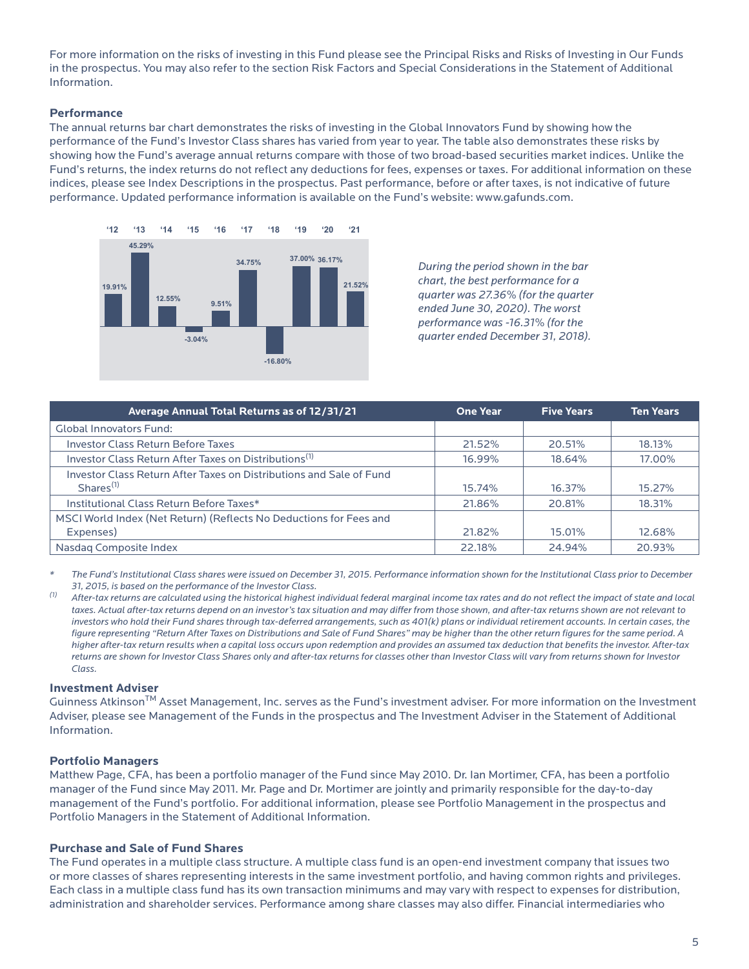For more information on the risks of investing in this Fund please see the Principal Risks and Risks of Investing in Our Funds in the prospectus. You may also refer to the section Risk Factors and Special Considerations in the Statement of Additional Information.

#### **Performance**

The annual returns bar chart demonstrates the risks of investing in the Global Innovators Fund by showing how the performance of the Fund's Investor Class shares has varied from year to year. The table also demonstrates these risks by showing how the Fund's average annual returns compare with those of two broad-based securities market indices. Unlike the Fund's returns, the index returns do not reflect any deductions for fees, expenses or taxes. For additional information on these indices, please see Index Descriptions in the prospectus. Past performance, before or after taxes, is not indicative of future performance. Updated performance information is available on the Fund's website: www.gafunds.com.



*During the period shown in the bar chart, the best performance for a quarter was 27.36% (for the quarter ended June 30, 2020). The worst performance was -16.31% (for the quarter ended December 31, 2018).*

| Average Annual Total Returns as of 12/31/21                                           | <b>One Year</b> | <b>Five Years</b> | <b>Ten Years</b> |
|---------------------------------------------------------------------------------------|-----------------|-------------------|------------------|
| <b>Global Innovators Fund:</b>                                                        |                 |                   |                  |
| <b>Investor Class Return Before Taxes</b>                                             | 21.52%          | 20.51%            | 18.13%           |
| Investor Class Return After Taxes on Distributions <sup>(1)</sup>                     | 16.99%          | 18.64%            | 17.00%           |
| Investor Class Return After Taxes on Distributions and Sale of Fund<br>$Shares^{(1)}$ | 15.74%          | 16.37%            | 15.27%           |
| Institutional Class Return Before Taxes*                                              | 21.86%          | 20.81%            | 18.31%           |
| MSCI World Index (Net Return) (Reflects No Deductions for Fees and<br>Expenses)       | 21.82%          | 15.01%            | 12.68%           |
| Nasdaq Composite Index                                                                | 22.18%          | 24.94%            | 20.93%           |

*\* The Fund's Institutional Class shares were issued on December 31, 2015. Performance information shown for the Institutional Class prior to December 31, 2015, is based on the performance of the Investor Class.*

*(1) After-tax returns are calculated using the historical highest individual federal marginal income tax rates and do not reflect the impact of state and local taxes. Actual after-tax returns depend on an investor's tax situation and may differ from those shown, and after-tax returns shown are not relevant to investors who hold their Fund shares through tax-deferred arrangements, such as 401(k) plans or individual retirement accounts. In certain cases, the figure representing "Return After Taxes on Distributions and Sale of Fund Shares" may be higher than the other return figures for the same period. A higher after-tax return results when a capital loss occurs upon redemption and provides an assumed tax deduction that benefits the investor. After-tax returns are shown for Investor Class Shares only and after-tax returns for classes other than Investor Class will vary from returns shown for Investor Class.*

#### **Investment Adviser**

Guinness Atkinson<sup>TM</sup> Asset Management, Inc. serves as the Fund's investment adviser. For more information on the Investment Adviser, please see Management of the Funds in the prospectus and The Investment Adviser in the Statement of Additional Information.

#### **Portfolio Managers**

Matthew Page, CFA, has been a portfolio manager of the Fund since May 2010. Dr. Ian Mortimer, CFA, has been a portfolio manager of the Fund since May 2011. Mr. Page and Dr. Mortimer are jointly and primarily responsible for the day-to-day management of the Fund's portfolio. For additional information, please see Portfolio Management in the prospectus and Portfolio Managers in the Statement of Additional Information.

#### **Purchase and Sale of Fund Shares**

The Fund operates in a multiple class structure. A multiple class fund is an open-end investment company that issues two or more classes of shares representing interests in the same investment portfolio, and having common rights and privileges. Each class in a multiple class fund has its own transaction minimums and may vary with respect to expenses for distribution, administration and shareholder services. Performance among share classes may also differ. Financial intermediaries who